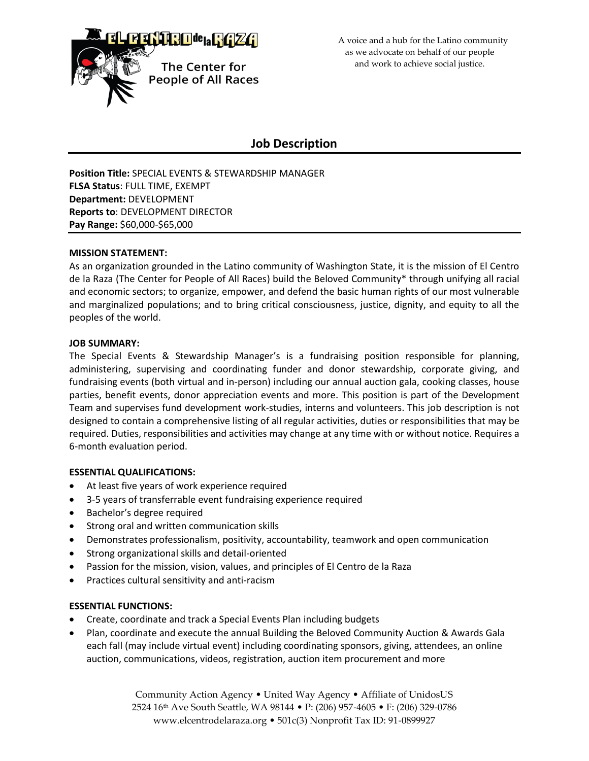

 A voice and a hub for the Latino community as we advocate on behalf of our people and work to achieve social justice.

# **Job Description**

**Position Title:** SPECIAL EVENTS & STEWARDSHIP MANAGER **FLSA Status**: FULL TIME, EXEMPT **Department:** DEVELOPMENT **Reports to**: DEVELOPMENT DIRECTOR **Pay Range:** \$60,000-\$65,000

### **MISSION STATEMENT:**

As an organization grounded in the Latino community of Washington State, it is the mission of El Centro de la Raza (The Center for People of All Races) build the Beloved Community\* through unifying all racial and economic sectors; to organize, empower, and defend the basic human rights of our most vulnerable and marginalized populations; and to bring critical consciousness, justice, dignity, and equity to all the peoples of the world.

#### **JOB SUMMARY:**

The Special Events & Stewardship Manager's is a fundraising position responsible for planning, administering, supervising and coordinating funder and donor stewardship, corporate giving, and fundraising events (both virtual and in-person) including our annual auction gala, cooking classes, house parties, benefit events, donor appreciation events and more. This position is part of the Development Team and supervises fund development work-studies, interns and volunteers. This job description is not designed to contain a comprehensive listing of all regular activities, duties or responsibilities that may be required. Duties, responsibilities and activities may change at any time with or without notice. Requires a 6-month evaluation period.

### **ESSENTIAL QUALIFICATIONS:**

- At least five years of work experience required
- 3-5 years of transferrable event fundraising experience required
- Bachelor's degree required
- Strong oral and written communication skills
- Demonstrates professionalism, positivity, accountability, teamwork and open communication
- Strong organizational skills and detail-oriented
- Passion for the mission, vision, values, and principles of El Centro de la Raza
- Practices cultural sensitivity and anti-racism

### **ESSENTIAL FUNCTIONS:**

- Create, coordinate and track a Special Events Plan including budgets
- Plan, coordinate and execute the annual Building the Beloved Community Auction & Awards Gala each fall (may include virtual event) including coordinating sponsors, giving, attendees, an online auction, communications, videos, registration, auction item procurement and more

Community Action Agency • United Way Agency • Affiliate of UnidosUS 2524 16th Ave South Seattle, WA 98144 • P: (206) 957-4605 • F: (206) 329-0786 www.elcentrodelaraza.org • 501c(3) Nonprofit Tax ID: 91-0899927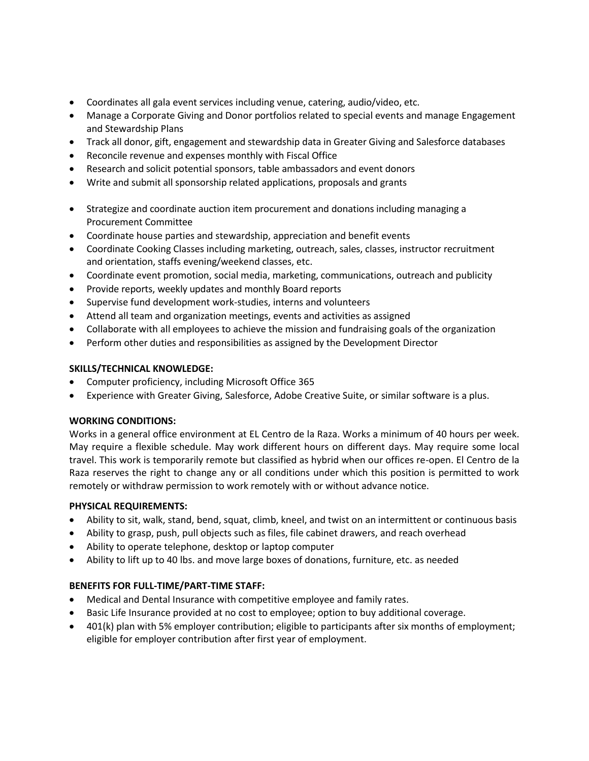- Coordinates all gala event services including venue, catering, audio/video, etc.
- Manage a Corporate Giving and Donor portfolios related to special events and manage Engagement and Stewardship Plans
- Track all donor, gift, engagement and stewardship data in Greater Giving and Salesforce databases
- Reconcile revenue and expenses monthly with Fiscal Office
- Research and solicit potential sponsors, table ambassadors and event donors
- Write and submit all sponsorship related applications, proposals and grants
- Strategize and coordinate auction item procurement and donations including managing a Procurement Committee
- Coordinate house parties and stewardship, appreciation and benefit events
- Coordinate Cooking Classes including marketing, outreach, sales, classes, instructor recruitment and orientation, staffs evening/weekend classes, etc.
- Coordinate event promotion, social media, marketing, communications, outreach and publicity
- Provide reports, weekly updates and monthly Board reports
- Supervise fund development work-studies, interns and volunteers
- Attend all team and organization meetings, events and activities as assigned
- Collaborate with all employees to achieve the mission and fundraising goals of the organization
- Perform other duties and responsibilities as assigned by the Development Director

### **SKILLS/TECHNICAL KNOWLEDGE:**

- Computer proficiency, including Microsoft Office 365
- Experience with Greater Giving, Salesforce, Adobe Creative Suite, or similar software is a plus.

### **WORKING CONDITIONS:**

Works in a general office environment at EL Centro de la Raza. Works a minimum of 40 hours per week. May require a flexible schedule. May work different hours on different days. May require some local travel. This work is temporarily remote but classified as hybrid when our offices re-open. El Centro de la Raza reserves the right to change any or all conditions under which this position is permitted to work remotely or withdraw permission to work remotely with or without advance notice.

### **PHYSICAL REQUIREMENTS:**

- Ability to sit, walk, stand, bend, squat, climb, kneel, and twist on an intermittent or continuous basis
- Ability to grasp, push, pull objects such as files, file cabinet drawers, and reach overhead
- Ability to operate telephone, desktop or laptop computer
- Ability to lift up to 40 lbs. and move large boxes of donations, furniture, etc. as needed

### **BENEFITS FOR FULL-TIME/PART-TIME STAFF:**

- Medical and Dental Insurance with competitive employee and family rates.
- Basic Life Insurance provided at no cost to employee; option to buy additional coverage.
- 401(k) plan with 5% employer contribution; eligible to participants after six months of employment; eligible for employer contribution after first year of employment.